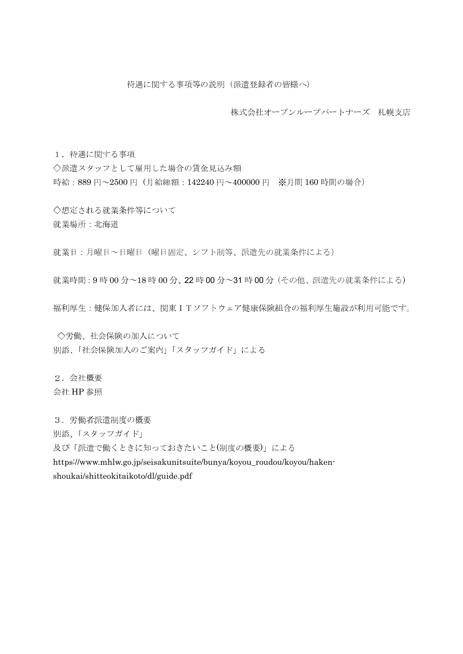株式会社オープンループパートナーズ 札幌支店

1. 待遇に関する事項

◇派遣スタッフとして雇用した場合の賃金見込み額 時給: 889円~2500円 (月給総額: 142240円~400000円 ※月間160時間の場合)

◇想定される就業条件等について 就業場所:北海道

就業日:月曜日~日曜日 (曜日固定、シフト制等、派遣先の就業条件による)

就業時間: 9時 00分~18時 00分、22時 00分~31時 00分 (その他、派遣先の就業条件による)

福利厚生:健保加入者には、関東ITソフトウェア健康保険組合の福利厚生施設が利用可能です。

◇労働、社会保険の加入について 別添、「社会保険加入のご案内」「スタッフガイド」による

2. 会社概要 会社 HP 参照

3. 労働者派遣制度の概要

別添、「スタッフガイド」

及び「派遣で働くときに知っておきたいこと(制度の概要)」による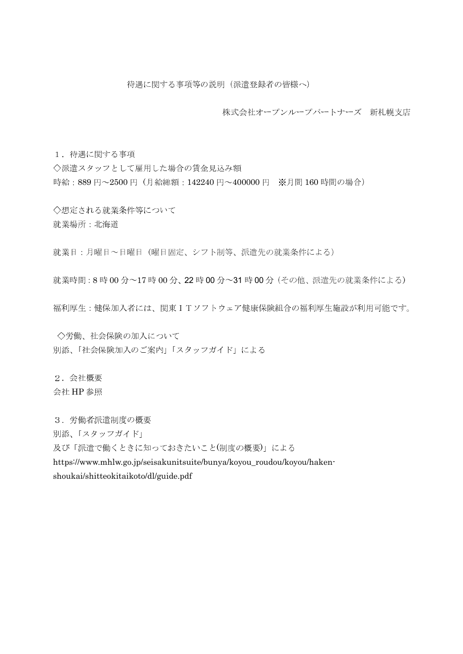株式会社オープンループパートナーズ 新札幌支店

1. 待遇に関する事項

◇派遣スタッフとして雇用した場合の賃金見込み額 時給: 889円~2500円 (月給総額: 142240円~400000円 ※月間160時間の場合)

◇想定される就業条件等について 就業場所:北海道

就業日:月曜日~日曜日 (曜日固定、シフト制等、派遣先の就業条件による)

就業時間: 8時 00分~17時 00分、22時 00分~31時 00分 (その他、派遣先の就業条件による)

福利厚生:健保加入者には、関東ITソフトウェア健康保険組合の福利厚生施設が利用可能です。

◇労働、社会保険の加入について 別添、「社会保険加入のご案内」「スタッフガイド」による

2. 会社概要 会社 HP 参照

3. 労働者派遣制度の概要

別添、「スタッフガイド」

及び「派遣で働くときに知っておきたいこと(制度の概要)」による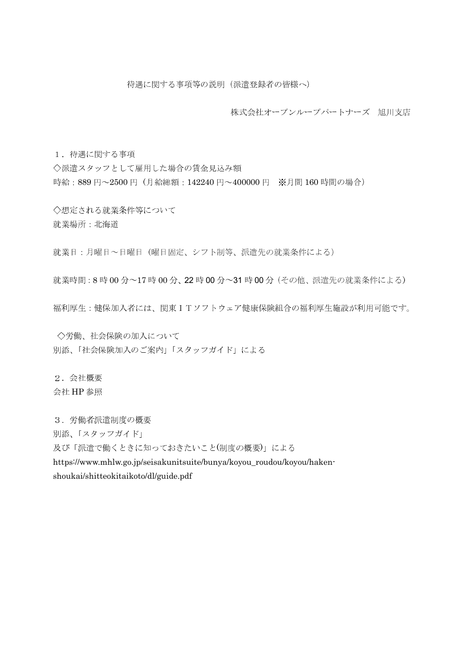株式会社オープンループパートナーズ 旭川支店

1. 待遇に関する事項

◇派遣スタッフとして雇用した場合の賃金見込み額 時給: 889円~2500円 (月給総額: 142240円~400000円 ※月間160時間の場合)

◇想定される就業条件等について 就業場所:北海道

就業日:月曜日~日曜日 (曜日固定、シフト制等、派遣先の就業条件による)

就業時間: 8時 00分~17時 00分、22時 00分~31時 00分 (その他、派遣先の就業条件による)

福利厚生:健保加入者には、関東ITソフトウェア健康保険組合の福利厚生施設が利用可能です。

◇労働、社会保険の加入について 別添、「社会保険加入のご案内」「スタッフガイド」による

2. 会社概要 会社 HP 参照

3. 労働者派遣制度の概要

別添、「スタッフガイド」

及び「派遣で働くときに知っておきたいこと(制度の概要)」による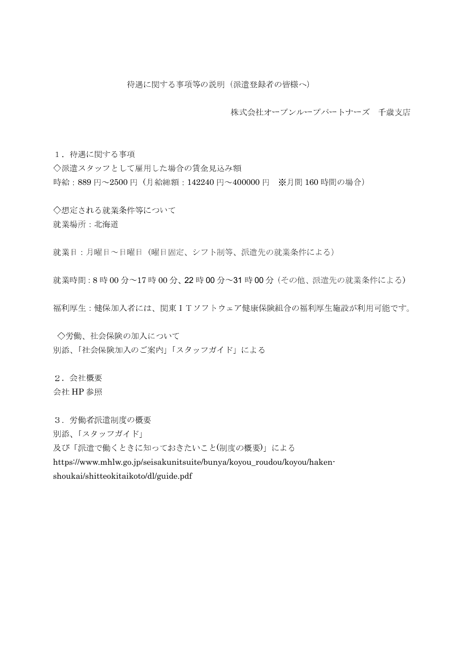株式会社オープンループパートナーズ 千歳支店

1. 待遇に関する事項

◇派遣スタッフとして雇用した場合の賃金見込み額 時給: 889円~2500円 (月給総額: 142240円~400000円 ※月間160時間の場合)

◇想定される就業条件等について 就業場所:北海道

就業日:月曜日~日曜日 (曜日固定、シフト制等、派遣先の就業条件による)

就業時間: 8時 00分~17時 00分、22時 00分~31時 00分 (その他、派遣先の就業条件による)

福利厚生:健保加入者には、関東ITソフトウェア健康保険組合の福利厚生施設が利用可能です。

◇労働、社会保険の加入について 別添、「社会保険加入のご案内」「スタッフガイド」による

2. 会社概要 会社 HP 参照

3. 労働者派遣制度の概要

別添、「スタッフガイド」

及び「派遣で働くときに知っておきたいこと(制度の概要)」による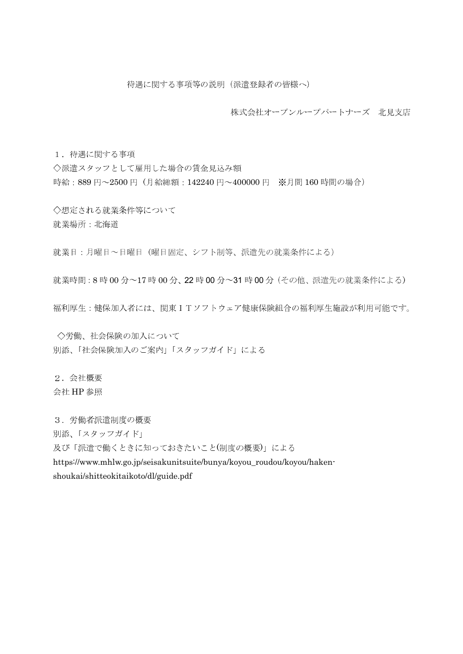株式会社オープンループパートナーズ 北見支店

1. 待遇に関する事項

◇派遣スタッフとして雇用した場合の賃金見込み額 時給: 889円~2500円 (月給総額: 142240円~400000円 ※月間160時間の場合)

◇想定される就業条件等について 就業場所:北海道

就業日:月曜日~日曜日 (曜日固定、シフト制等、派遣先の就業条件による)

就業時間: 8時 00分~17時 00分、22時 00分~31時 00分 (その他、派遣先の就業条件による)

福利厚生:健保加入者には、関東ITソフトウェア健康保険組合の福利厚生施設が利用可能です。

◇労働、社会保険の加入について 別添、「社会保険加入のご案内」「スタッフガイド」による

2. 会社概要 会社 HP 参照

3. 労働者派遣制度の概要

別添、「スタッフガイド」

及び「派遣で働くときに知っておきたいこと(制度の概要)」による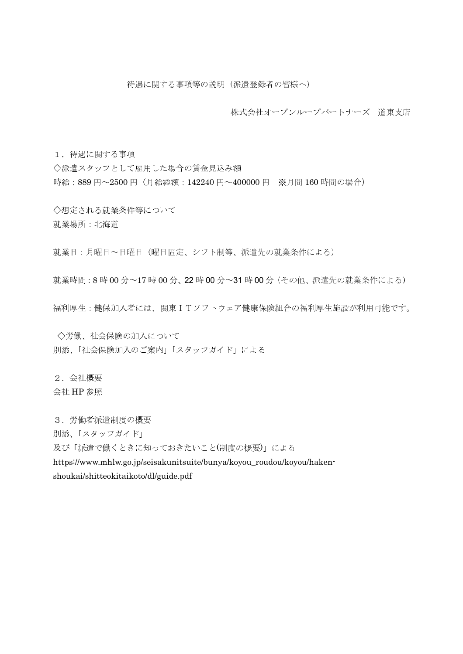株式会社オープンループパートナーズ 道東支店

1. 待遇に関する事項

◇派遣スタッフとして雇用した場合の賃金見込み額 時給: 889円~2500円 (月給総額: 142240円~400000円 ※月間160時間の場合)

◇想定される就業条件等について 就業場所:北海道

就業日:月曜日~日曜日 (曜日固定、シフト制等、派遣先の就業条件による)

就業時間: 8時 00分~17時 00分、22時 00分~31時 00分 (その他、派遣先の就業条件による)

福利厚生:健保加入者には、関東ITソフトウェア健康保険組合の福利厚生施設が利用可能です。

◇労働、社会保険の加入について 別添、「社会保険加入のご案内」「スタッフガイド」による

2. 会社概要 会社 HP 参照

3. 労働者派遣制度の概要

別添、「スタッフガイド」

及び「派遣で働くときに知っておきたいこと(制度の概要)」による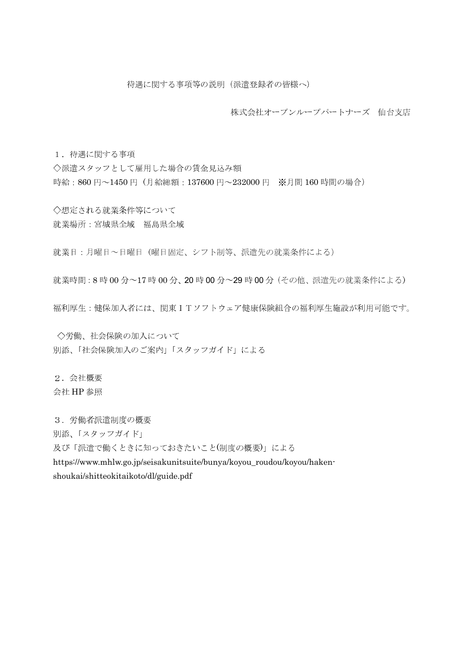株式会社オープンループパートナーズ 仙台支店

1. 待遇に関する事項

◇派遣スタッフとして雇用した場合の賃金見込み額 時給: 860円~1450円 (月給総額: 137600円~232000円 ※月間160時間の場合)

◇想定される就業条件等について 就業場所:宮城県全域 福島県全域

就業日:月曜日~日曜日 (曜日固定、シフト制等、派遣先の就業条件による)

就業時間: 8時 00分~17時 00分、20時 00分~29時 00分 (その他、派遣先の就業条件による)

福利厚生:健保加入者には、関東ITソフトウェア健康保険組合の福利厚生施設が利用可能です。

◇労働、社会保険の加入について 別添、「社会保険加入のご案内」「スタッフガイド」による

2. 会社概要 会社 HP 参照

3. 労働者派遣制度の概要

別添、「スタッフガイド」

及び「派遣で働くときに知っておきたいこと(制度の概要)」による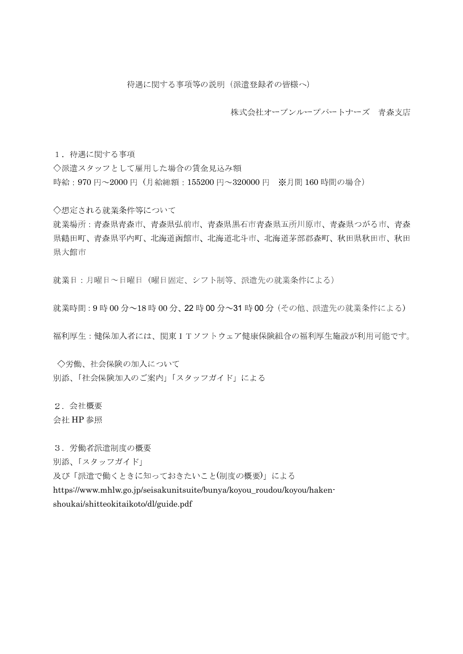株式会社オープンループパートナーズ 青森支店

1. 待遇に関する事項

◇派遣スタッフとして雇用した場合の賃金見込み額 時給: 970円~2000円 (月給総額: 155200円~320000円 ※月間160時間の場合)

◇想定される就業条件等について

就業場所:青森県青森市、青森県弘前市、青森県黒石市青森県五所川原市、青森県つがる市、青森 県鶴田町、青森県平内町、北海道函館市、北海道北斗市、北海道茅部郡森町、秋田県秋田市、秋田 県大館市

就業日:月曜日~日曜日 (曜日固定、シフト制等、派遣先の就業条件による)

就業時間: 9時 00分~18時 00分、22時 00分~31時 00分 (その他、派遣先の就業条件による)

福利厚生:健保加入者には、関東ITソフトウェア健康保険組合の福利厚生施設が利用可能です。

○労働、社会保険の加入について 別添、「社会保険加入のご案内」「スタッフガイド」による

2. 会社概要

会社 HP 参照

3. 労働者派遣制度の概要

別添、「スタッフガイド」

及び「派遣で働くときに知っておきたいこと(制度の概要)」による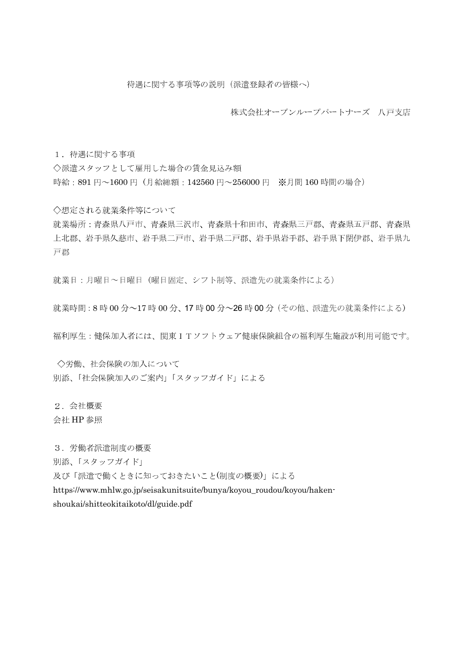株式会社オープンループパートナーズ 八戸支店

1. 待遇に関する事項

◇派遣スタッフとして雇用した場合の賃金見込み額 時給: 891円~1600円 (月給総額: 142560円~256000円 ※月間160時間の場合)

◇想定される就業条件等について

就業場所:青森県八戸市、青森県三沢市、青森県十和田市、青森県三戸郡、青森県五戸郡、青森県 上北郡、岩手県久慈市、岩手県二戸市、岩手県二戸郡、岩手県岩手郡、岩手県下閉伊郡、岩手県九 戸郡

就業日:月曜日~日曜日 (曜日固定、シフト制等、派遣先の就業条件による)

就業時間: 8時 00分~17時 00分、17時 00分~26時 00分 (その他、派遣先の就業条件による)

福利厚生:健保加入者には、関東ITソフトウェア健康保険組合の福利厚生施設が利用可能です。

○労働、社会保険の加入について 別添、「社会保険加入のご案内」「スタッフガイド」による

2. 会社概要

会社 HP 参照

3. 労働者派遣制度の概要

別添、「スタッフガイド」

及び「派遣で働くときに知っておきたいこと(制度の概要)」による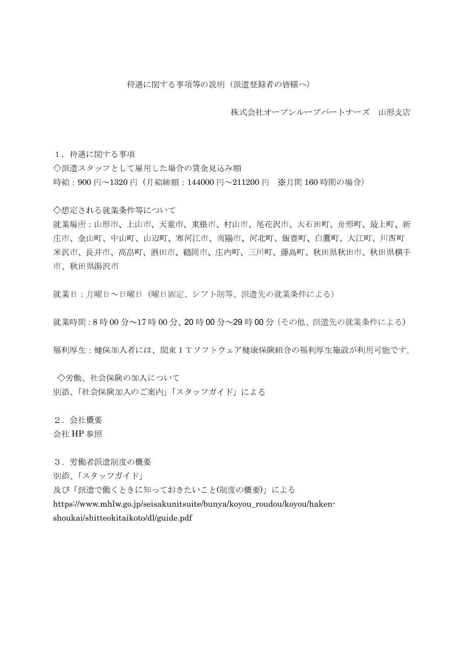株式会社オープンループパートナーズ 山形支店

1. 待遇に関する事項

◇派遣スタッフとして雇用した場合の賃金見込み額 時給: 900円~1320円 (月給総額: 144000円~211200円 ※月間160時間の場合)

◇想定される就業条件等について

就業場所:山形市、上山市、天童市、東根市、村山市、尾花沢市、大石田町、舟形町、最上町、新 庄市、金山町、中山町、山辺町、寒河江市、南陽市、河北町、飯豊町、白鷹町、大江町、川西町 米沢市、長井市、高畠町、酒田市、鶴岡市、庄内町、三川町、藤島町、秋田県秋田市、秋田県横手 市、秋田県湯沢市

就業日:月曜日~日曜日(曜日固定、シフト制等、派遣先の就業条件による)

就業時間: 8時 00分~17時 00分、20時 00分~29時 00分 (その他、派遣先の就業条件による)

福利厚生:健保加入者には、関東ITソフトウェア健康保険組合の福利厚生施設が利用可能です。

◇労働、社会保険の加入について 別添、「社会保険加入のご案内」「スタッフガイド」による

2. 会社概要

会社 HP 参照

3. 労働者派遣制度の概要

別添、「スタッフガイド」

及び「派遣で働くときに知っておきたいこと(制度の概要)」による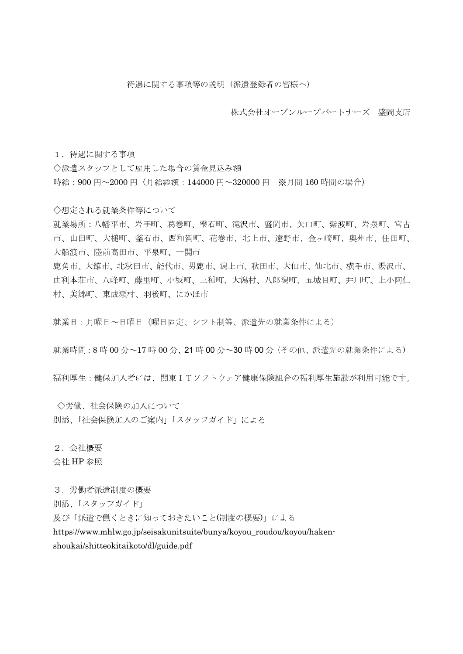株式会社オープンループパートナーズ 盛岡支店

1. 待遇に関する事項

◇派遣スタッフとして雇用した場合の賃金見込み額 時給: 900円~2000円 (月給総額: 144000円~320000円 ※月間160時間の場合)

◇想定される就業条件等について

就業場所:八幡平市、岩手町、葛巻町、雫石町、滝沢市、盛岡市、矢巾町、紫波町、岩泉町、宮古 市、山田町、大槌町、釜石市、西和賀町、花巻市、北上市、遠野市、金ヶ崎町、奥州市、住田町、 大船渡市、陸前高田市、平泉町、一関市 鹿角市、大館市、北秋田市、能代市、男鹿市、潟上市、秋田市、大仙市、仙北市、横手市、湯沢市、

由利本荘市、八峰町、藤里町、小坂町、三種町、大潟村、八郎潟町、五城目町、井川町、上小阿仁 村、美郷町、東成瀬村、羽後町、にかほ市

就業日:月曜日~日曜日 (曜日固定、シフト制等、派遣先の就業条件による)

就業時間: 8時 00分~17時 00分、21時 00分~30時 00分 (その他、派遣先の就業条件による)

福利厚生:健保加入者には、関東ITソフトウェア健康保険組合の福利厚生施設が利用可能です。

◇労働、社会保険の加入について 別添、「社会保険加入のご案内」「スタッフガイド」による

2. 会社概要 会社 HP 参照

3. 労働者派遣制度の概要

別添、「スタッフガイド」

及び「派遣で働くときに知っておきたいこと(制度の概要)」による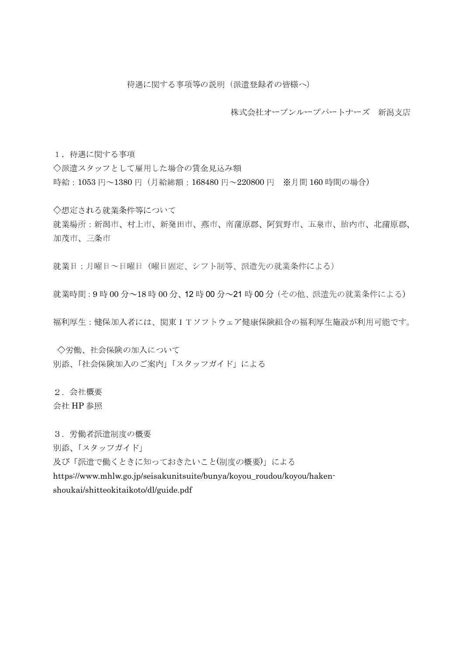株式会社オープンループパートナーズ 新潟支店

1. 待遇に関する事項

◇派遣スタッフとして雇用した場合の賃金見込み額 時給: 1053円~1380円 (月給総額: 168480円~220800円 ※月間160時間の場合)

◇想定される就業条件等について 就業場所:新潟市、村上市、新発田市、燕市、南蒲原郡、阿賀野市、五泉市、胎内市、北蒲原郡、 加茂市、三条市

就業日:月曜日~日曜日 (曜日固定、シフト制等、派遣先の就業条件による)

就業時間: 9時 00分~18時 00分、12時 00分~21時 00分 (その他、派遣先の就業条件による)

福利厚生:健保加入者には、関東ITソフトウェア健康保険組合の福利厚生施設が利用可能です。

◇労働、社会保険の加入について 別添、「社会保険加入のご案内」「スタッフガイド」による

2. 会社概要

会社 HP 参照

3. 労働者派遣制度の概要

別添、「スタッフガイド」

及び「派遣で働くときに知っておきたいこと(制度の概要)」による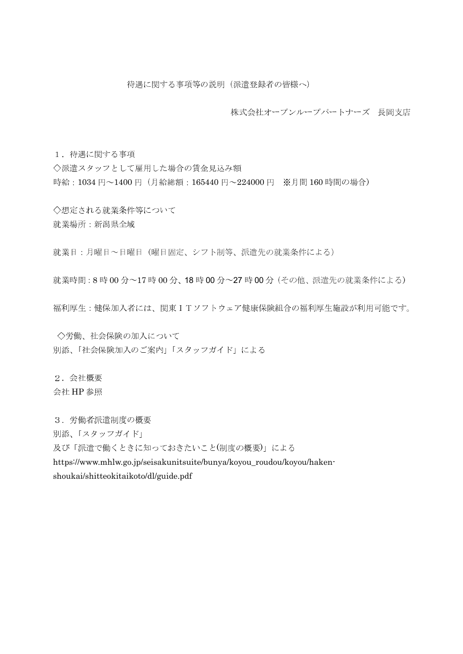株式会社オープンループパートナーズ 長岡支店

1. 待遇に関する事項

◇派遣スタッフとして雇用した場合の賃金見込み額 時給: 1034円~1400円 (月給総額: 165440円~224000円 ※月間160時間の場合)

◇想定される就業条件等について 就業場所:新潟県全域

就業日:月曜日~日曜日 (曜日固定、シフト制等、派遣先の就業条件による)

就業時間: 8時 00分~17時 00分、18時 00分~27時 00分 (その他、派遣先の就業条件による)

福利厚生:健保加入者には、関東ITソフトウェア健康保険組合の福利厚生施設が利用可能です。

◇労働、社会保険の加入について 別添、「社会保険加入のご案内」「スタッフガイド」による

2. 会社概要 会社 HP 参照

3. 労働者派遣制度の概要

別添、「スタッフガイド」

及び「派遣で働くときに知っておきたいこと(制度の概要)」による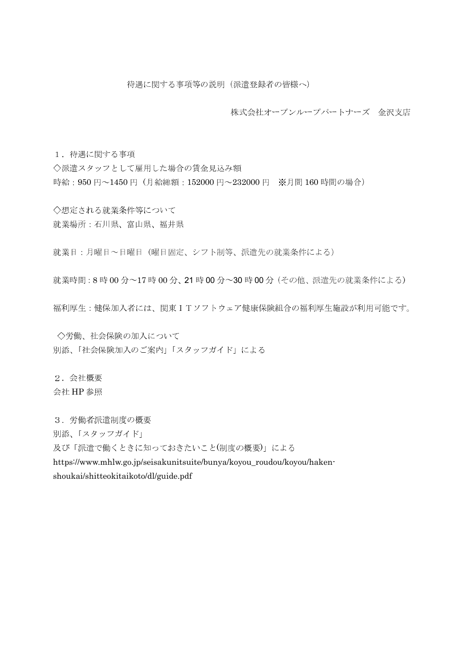株式会社オープンループパートナーズ 金沢支店

1. 待遇に関する事項 ◇派遣スタッフとして雇用した場合の賃金見込み額 時給: 950円~1450円 (月給総額: 152000円~232000円 ※月間160時間の場合)

◇想定される就業条件等について 就業場所:石川県、富山県、福井県

就業日:月曜日~日曜日 (曜日固定、シフト制等、派遣先の就業条件による)

就業時間: 8時 00分~17時 00分、21時 00分~30時 00分 (その他、派遣先の就業条件による)

福利厚生:健保加入者には、関東ITソフトウェア健康保険組合の福利厚生施設が利用可能です。

◇労働、社会保険の加入について 別添、「社会保険加入のご案内」「スタッフガイド」による

2. 会社概要 会社 HP 参照

3. 労働者派遣制度の概要

別添、「スタッフガイド」

及び「派遣で働くときに知っておきたいこと(制度の概要)」による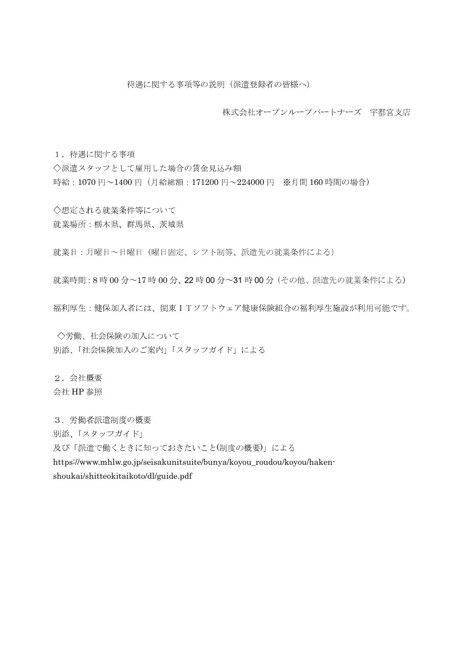株式会社オープンループパートナーズ 宇都宮支店

1. 待遇に関する事項 ◇派遣スタッフとして雇用した場合の賃金見込み額 時給: 1070円~1400円 (月給総額: 171200円~224000円 ※月間160時間の場合)

◇想定される就業条件等について 就業場所:栃木県、群馬県、茨城県

就業日:月曜日~日曜日 (曜日固定、シフト制等、派遣先の就業条件による)

就業時間: 8時 00分~17時 00分、22時 00分~31時 00分 (その他、派遣先の就業条件による)

福利厚生:健保加入者には、関東ITソフトウェア健康保険組合の福利厚生施設が利用可能です。

◇労働、社会保険の加入について 別添、「社会保険加入のご案内」「スタッフガイド」による

2. 会社概要 会社 HP 参照

3. 労働者派遣制度の概要

別添、「スタッフガイド」

及び「派遣で働くときに知っておきたいこと(制度の概要)」による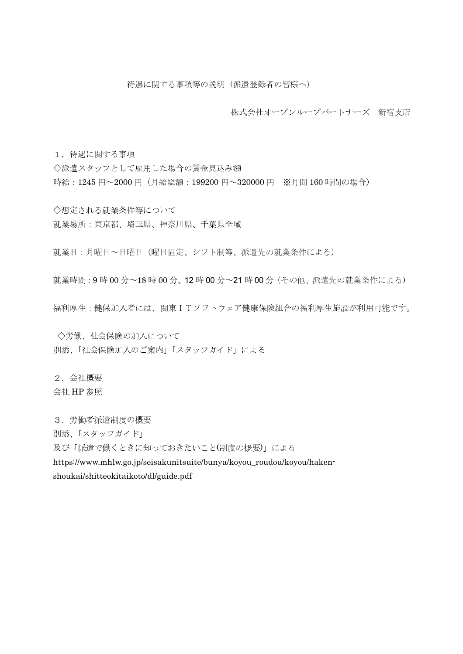株式会社オープンループパートナーズ 新宿支店

1. 待遇に関する事項

◇派遣スタッフとして雇用した場合の賃金見込み額 時給: 1245円~2000円 (月給総額: 199200円~320000円 ※月間160時間の場合)

◇想定される就業条件等について 就業場所:東京都、埼玉県、神奈川県、千葉県全域

就業日:月曜日~日曜日 (曜日固定、シフト制等、派遣先の就業条件による)

就業時間: 9時 00分~18時 00分、12時 00分~21時 00分 (その他、派遣先の就業条件による)

福利厚生:健保加入者には、関東ITソフトウェア健康保険組合の福利厚生施設が利用可能です。

◇労働、社会保険の加入について 別添、「社会保険加入のご案内」「スタッフガイド」による

2. 会社概要 会社 HP 参照

3. 労働者派遣制度の概要

別添、「スタッフガイド」

及び「派遣で働くときに知っておきたいこと(制度の概要)」による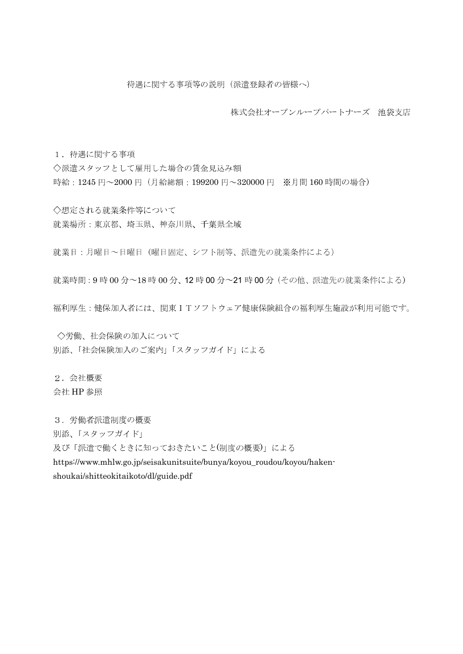株式会社オープンループパートナーズ 池袋支店

1. 待遇に関する事項

◇派遣スタッフとして雇用した場合の賃金見込み額 時給: 1245円~2000円 (月給総額: 199200円~320000円 ※月間160時間の場合)

◇想定される就業条件等について 就業場所:東京都、埼玉県、神奈川県、千葉県全域

就業日:月曜日~日曜日 (曜日固定、シフト制等、派遣先の就業条件による)

就業時間: 9時 00分~18時 00分、12時 00分~21時 00分 (その他、派遣先の就業条件による)

福利厚生:健保加入者には、関東ITソフトウェア健康保険組合の福利厚生施設が利用可能です。

◇労働、社会保険の加入について 別添、「社会保険加入のご案内」「スタッフガイド」による

2. 会社概要 会社 HP 参照

3. 労働者派遣制度の概要

別添、「スタッフガイド」

及び「派遣で働くときに知っておきたいこと(制度の概要)」による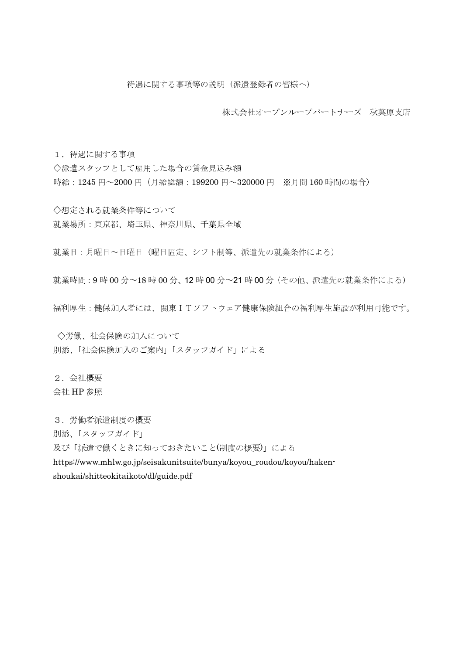株式会社オープンループパートナーズ 秋葉原支店

1. 待遇に関する事項

◇派遣スタッフとして雇用した場合の賃金見込み額 時給: 1245円~2000円 (月給総額: 199200円~320000円 ※月間160時間の場合)

◇想定される就業条件等について 就業場所:東京都、埼玉県、神奈川県、千葉県全域

就業日:月曜日~日曜日 (曜日固定、シフト制等、派遣先の就業条件による)

就業時間: 9時 00分~18時 00分、12時 00分~21時 00分 (その他、派遣先の就業条件による)

福利厚生:健保加入者には、関東ITソフトウェア健康保険組合の福利厚生施設が利用可能です。

◇労働、社会保険の加入について 別添、「社会保険加入のご案内」「スタッフガイド」による

2. 会社概要 会社 HP 参照

3. 労働者派遣制度の概要

別添、「スタッフガイド」

及び「派遣で働くときに知っておきたいこと(制度の概要)」による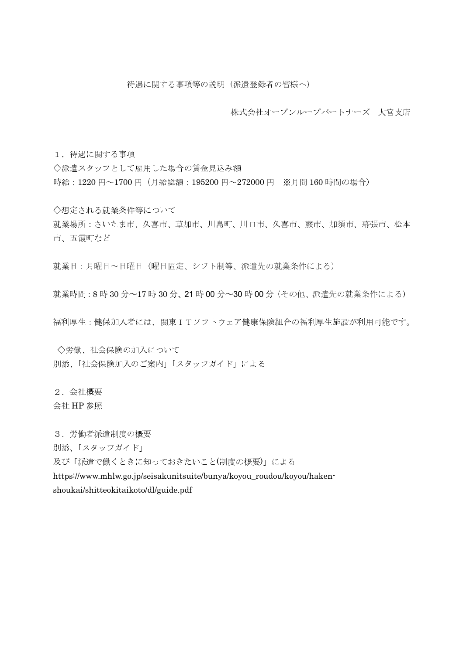株式会社オープンループパートナーズ 大宮支店

1. 待遇に関する事項

◇派遣スタッフとして雇用した場合の賃金見込み額 時給: 1220円~1700円 (月給総額: 195200円~272000円 ※月間160時間の場合)

◇想定される就業条件等について 就業場所:さいたま市、久喜市、草加市、川島町、川口市、久喜市、蕨市、加須市、幕張市、松本 市、五霞町など

就業日:月曜日~日曜日 (曜日固定、シフト制等、派遣先の就業条件による)

就業時間: 8時 30分~17時 30分、21時 00分~30時 00分 (その他、派遣先の就業条件による)

福利厚生:健保加入者には、関東ITソフトウェア健康保険組合の福利厚生施設が利用可能です。

◇労働、社会保険の加入について 別添、「社会保険加入のご案内」「スタッフガイド」による

2. 会社概要

会社 HP 参照

3. 労働者派遣制度の概要

別添、「スタッフガイド」

及び「派遣で働くときに知っておきたいこと(制度の概要)」による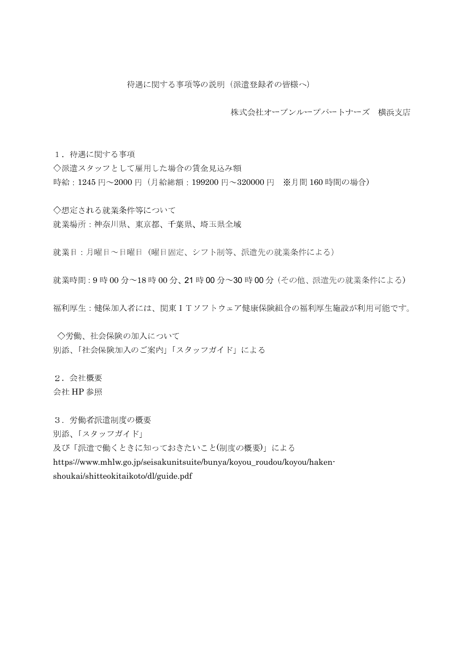株式会社オープンループパートナーズ 横浜支店

1. 待遇に関する事項

◇派遣スタッフとして雇用した場合の賃金見込み額 時給: 1245円~2000円 (月給総額: 199200円~320000円 ※月間160時間の場合)

◇想定される就業条件等について 就業場所:神奈川県、東京都、千葉県、埼玉県全域

就業日:月曜日~日曜日 (曜日固定、シフト制等、派遣先の就業条件による)

就業時間: 9時 00分~18時 00分、21時 00分~30時 00分 (その他、派遣先の就業条件による)

福利厚生:健保加入者には、関東ITソフトウェア健康保険組合の福利厚生施設が利用可能です。

◇労働、社会保険の加入について 別添、「社会保険加入のご案内」「スタッフガイド」による

2. 会社概要 会社 HP 参照

3. 労働者派遣制度の概要

別添、「スタッフガイド」

及び「派遣で働くときに知っておきたいこと(制度の概要)」による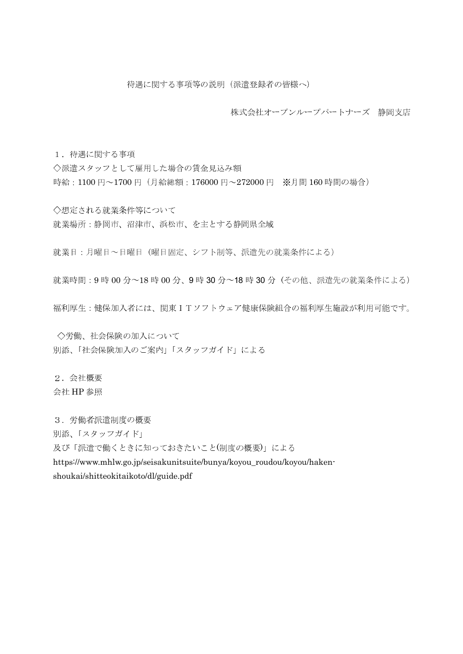株式会社オープンループパートナーズ 静岡支店

1. 待遇に関する事項

◇派遣スタッフとして雇用した場合の賃金見込み額 時給: 1100円~1700円 (月給総額: 176000円~272000円 ※月間160時間の場合)

◇想定される就業条件等について 就業場所:静岡市、沼津市、浜松市、を主とする静岡県全域

就業日:月曜日~日曜日 (曜日固定、シフト制等、派遣先の就業条件による)

就業時間: 9時 00分~18時 00分、9時 30分~18時 30分 (その他、派遣先の就業条件による)

福利厚生:健保加入者には、関東ITソフトウェア健康保険組合の福利厚生施設が利用可能です。

◇労働、社会保険の加入について 別添、「社会保険加入のご案内」「スタッフガイド」による

2. 会社概要 会社 HP 参照

3. 労働者派遣制度の概要

別添、「スタッフガイド」

及び「派遣で働くときに知っておきたいこと(制度の概要)」による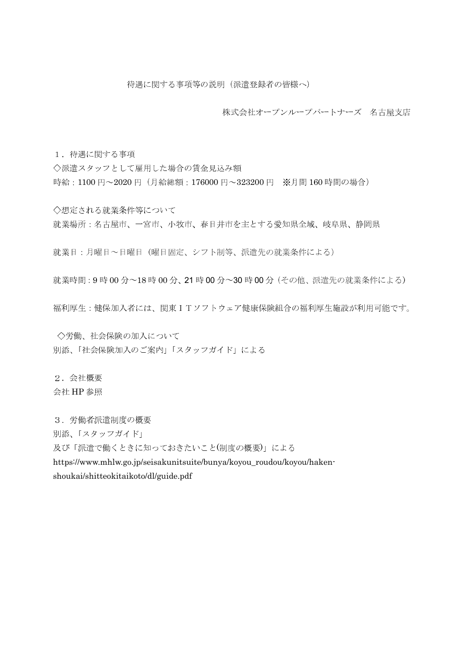株式会社オープンループパートナーズ 名古屋支店

1. 待遇に関する事項

◇派遣スタッフとして雇用した場合の賃金見込み額 時給: 1100円~2020円 (月給総額: 176000円~323200円 ※月間160時間の場合)

◇想定される就業条件等について 就業場所:名古屋市、一宮市、小牧市、春日井市を主とする愛知県全域、岐阜県、静岡県

就業日:月曜日~日曜日 (曜日固定、シフト制等、派遣先の就業条件による)

就業時間: 9時 00分~18時 00分、21時 00分~30時 00分 (その他、派遣先の就業条件による)

福利厚生:健保加入者には、関東ITソフトウェア健康保険組合の福利厚生施設が利用可能です。

◇労働、社会保険の加入について 別添、「社会保険加入のご案内」「スタッフガイド」による

2. 会社概要 会社 HP 参照

3. 労働者派遣制度の概要

別添、「スタッフガイド」

及び「派遣で働くときに知っておきたいこと(制度の概要)」による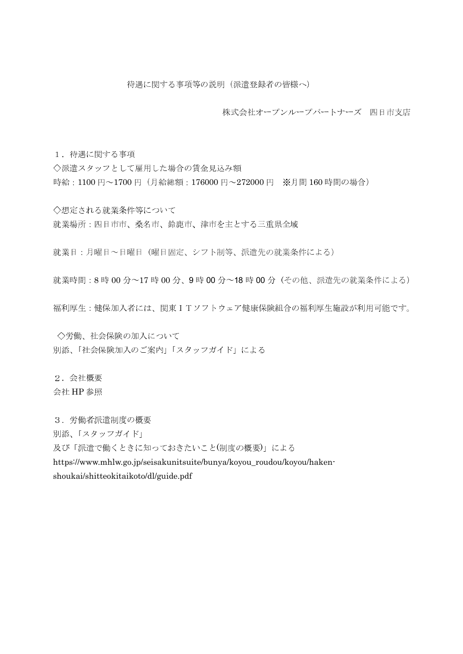株式会社オープンループパートナーズ 四日市支店

1. 待遇に関する事項

◇派遣スタッフとして雇用した場合の賃金見込み額 時給: 1100円~1700円 (月給総額: 176000円~272000円 ※月間160時間の場合)

◇想定される就業条件等について 就業場所:四日市市、桑名市、鈴鹿市、津市を主とする三重県全域

就業日:月曜日~日曜日 (曜日固定、シフト制等、派遣先の就業条件による)

就業時間: 8時 00分~17時 00分、9時 00分~18時 00分 (その他、派遣先の就業条件による)

福利厚生:健保加入者には、関東ITソフトウェア健康保険組合の福利厚生施設が利用可能です。

◇労働、社会保険の加入について 別添、「社会保険加入のご案内」「スタッフガイド」による

2. 会社概要 会社 HP 参照

3. 労働者派遣制度の概要

別添、「スタッフガイド」

及び「派遣で働くときに知っておきたいこと(制度の概要)」による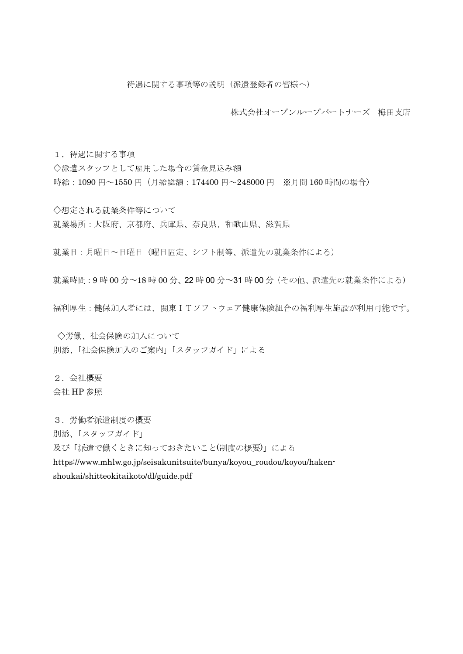株式会社オープンループパートナーズ 梅田支店

1. 待遇に関する事項

◇派遣スタッフとして雇用した場合の賃金見込み額 時給: 1090円~1550円 (月給総額: 174400円~248000円 ※月間160時間の場合)

◇想定される就業条件等について 就業場所:大阪府、京都府、兵庫県、奈良県、和歌山県、滋賀県

就業日:月曜日~日曜日 (曜日固定、シフト制等、派遣先の就業条件による)

就業時間: 9時 00分~18時 00分、22時 00分~31時 00分 (その他、派遣先の就業条件による)

福利厚生:健保加入者には、関東ITソフトウェア健康保険組合の福利厚生施設が利用可能です。

◇労働、社会保険の加入について 別添、「社会保険加入のご案内」「スタッフガイド」による

2. 会社概要 会社 HP 参照

3. 労働者派遣制度の概要

別添、「スタッフガイド」

及び「派遣で働くときに知っておきたいこと(制度の概要)」による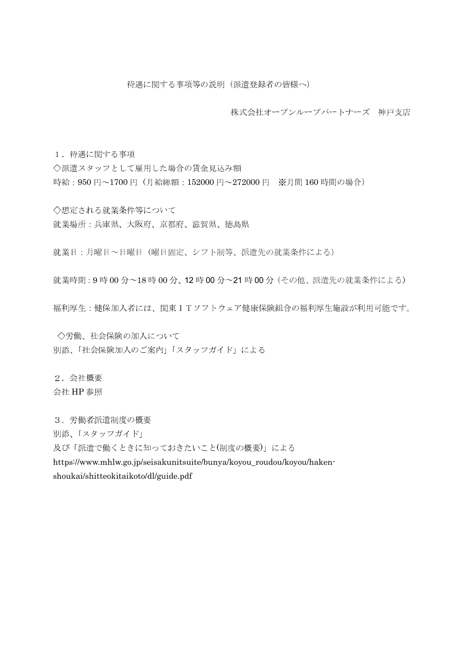株式会社オープンループパートナーズ 神戸支店

1. 待遇に関する事項

◇派遣スタッフとして雇用した場合の賃金見込み額 時給: 950円~1700円 (月給総額: 152000円~272000円 ※月間160時間の場合)

◇想定される就業条件等について 就業場所:兵庫県、大阪府、京都府、滋賀県、徳島県

就業日:月曜日~日曜日 (曜日固定、シフト制等、派遣先の就業条件による)

就業時間: 9時 00分~18時 00分、12時 00分~21時 00分 (その他、派遣先の就業条件による)

福利厚生:健保加入者には、関東ITソフトウェア健康保険組合の福利厚生施設が利用可能です。

◇労働、社会保険の加入について 別添、「社会保険加入のご案内」「スタッフガイド」による

2. 会社概要 会社 HP 参照

3. 労働者派遣制度の概要

別添、「スタッフガイド」

及び「派遣で働くときに知っておきたいこと(制度の概要)」による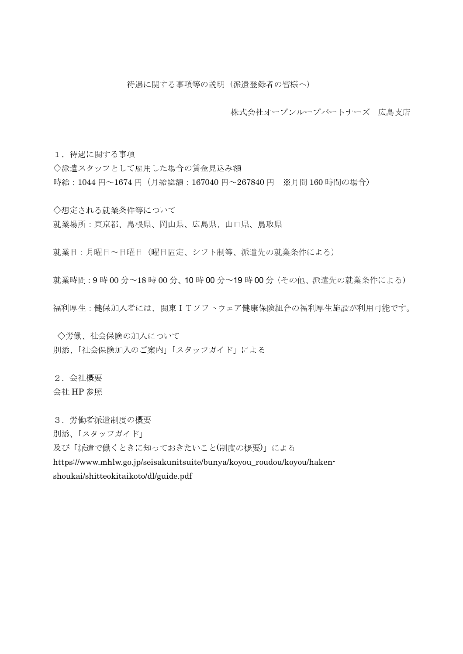株式会社オープンループパートナーズ 広島支店

1. 待遇に関する事項

◇派遣スタッフとして雇用した場合の賃金見込み額 時給: 1044円~1674円 (月給総額: 167040円~267840円 ※月間160時間の場合)

◇想定される就業条件等について 就業場所:東京都、島根県、岡山県、広島県、山口県、鳥取県

就業日:月曜日~日曜日 (曜日固定、シフト制等、派遣先の就業条件による)

就業時間: 9時 00分~18時 00分、10時 00分~19時 00分 (その他、派遣先の就業条件による)

福利厚生:健保加入者には、関東ITソフトウェア健康保険組合の福利厚生施設が利用可能です。

◇労働、社会保険の加入について 別添、「社会保険加入のご案内」「スタッフガイド」による

2. 会社概要 会社 HP 参照

3. 労働者派遣制度の概要

別添、「スタッフガイド」

及び「派遣で働くときに知っておきたいこと(制度の概要)」による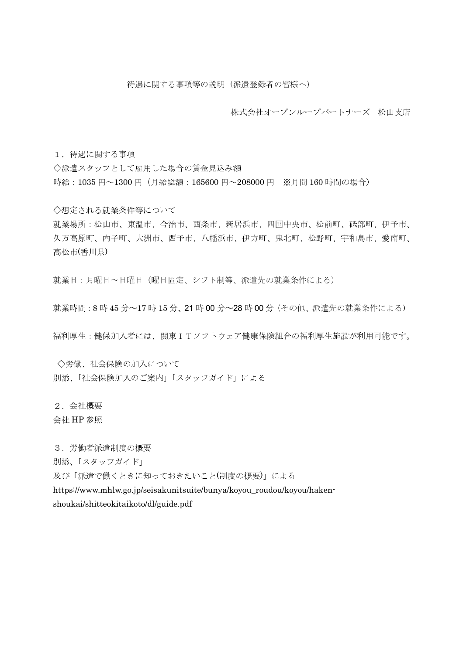株式会社オープンループパートナーズ 松山支店

1. 待遇に関する事項

◇派遣スタッフとして雇用した場合の賃金見込み額 時給: 1035円~1300円 (月給総額: 165600円~208000円 ※月間160時間の場合)

◇想定される就業条件等について

就業場所:松山市、東温市、今治市、西条市、新居浜市、四国中央市、松前町、砥部町、伊予市、 久万高原町、内子町、大洲市、西予市、八幡浜市、伊方町、鬼北町、松野町、宇和島市、愛南町、 高松市(香川県)

就業日:月曜日~日曜日 (曜日固定、シフト制等、派遣先の就業条件による)

就業時間: 8時 45分~17時15分、21時00分~28時00分 (その他、派遣先の就業条件による)

福利厚生:健保加入者には、関東ITソフトウェア健康保険組合の福利厚生施設が利用可能です。

○労働、社会保険の加入について 別添、「社会保険加入のご案内」「スタッフガイド」による

2. 会社概要

会社 HP 参照

3. 労働者派遣制度の概要

別添、「スタッフガイド」

及び「派遣で働くときに知っておきたいこと(制度の概要)」による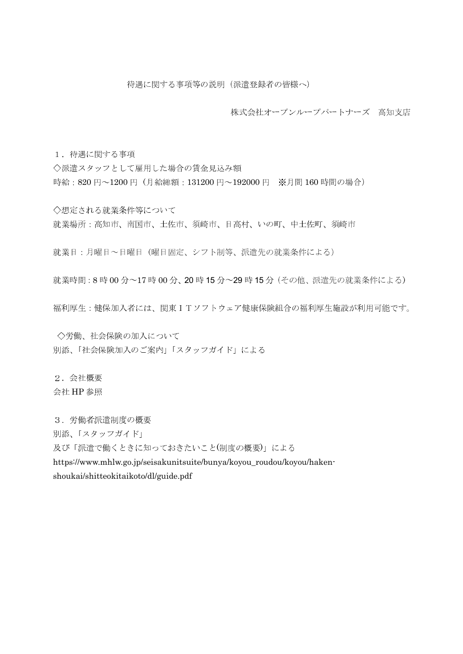株式会社オープンループパートナーズ 高知支店

1. 待遇に関する事項

◇派遣スタッフとして雇用した場合の賃金見込み額 時給: 820円~1200円 (月給総額: 131200円~192000円 ※月間160時間の場合)

◇想定される就業条件等について 就業場所:高知市、南国市、土佐市、須崎市、日高村、いの町、中土佐町、須崎市

就業日:月曜日~日曜日 (曜日固定、シフト制等、派遣先の就業条件による)

就業時間: 8時 00分~17時 00分、20時15分~29時15分 (その他、派遣先の就業条件による)

福利厚生:健保加入者には、関東ITソフトウェア健康保険組合の福利厚生施設が利用可能です。

◇労働、社会保険の加入について 別添、「社会保険加入のご案内」「スタッフガイド」による

2. 会社概要 会社 HP 参照

3. 労働者派遣制度の概要

別添、「スタッフガイド」

及び「派遣で働くときに知っておきたいこと(制度の概要)」による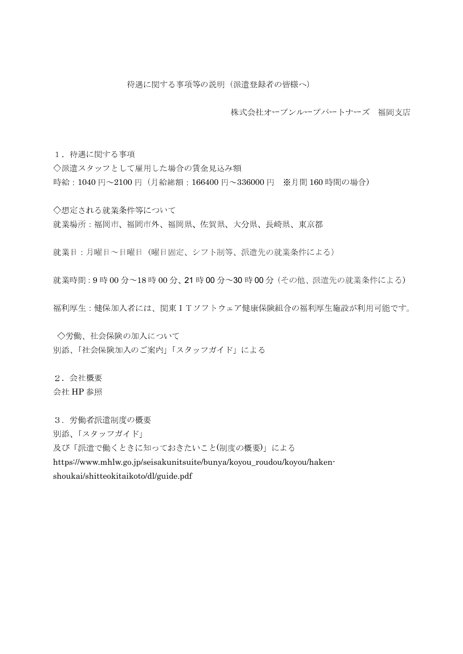株式会社オープンループパートナーズ 福岡支店

1. 待遇に関する事項

◇派遣スタッフとして雇用した場合の賃金見込み額 時給: 1040円~2100円 (月給総額: 166400円~336000円 ※月間160時間の場合)

◇想定される就業条件等について 就業場所:福岡市、福岡市外、福岡県、佐賀県、大分県、長崎県、東京都

就業日:月曜日~日曜日 (曜日固定、シフト制等、派遣先の就業条件による)

就業時間: 9時 00分~18時 00分、21時 00分~30時 00分 (その他、派遣先の就業条件による)

福利厚生:健保加入者には、関東ITソフトウェア健康保険組合の福利厚生施設が利用可能です。

◇労働、社会保険の加入について 別添、「社会保険加入のご案内」「スタッフガイド」による

2. 会社概要 会社 HP 参照

3. 労働者派遣制度の概要

別添、「スタッフガイド」

及び「派遣で働くときに知っておきたいこと(制度の概要)」による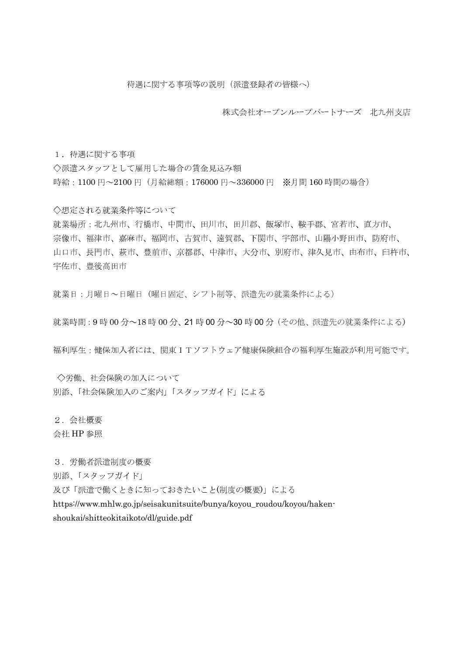株式会社オープンループパートナーズ 北九州支店

1. 待遇に関する事項

◇派遣スタッフとして雇用した場合の賃金見込み額 時給: 1100円~2100円 (月給総額: 176000円~336000円 ※月間160時間の場合)

◇想定される就業条件等について

就業場所:北九州市、行橋市、中間市、田川市、田川郡、飯塚市、鞍手郡、宮若市、直方市、 宗像市、福津市、嘉麻市、福岡市、古賀市、遠賀郡、下関市、宇部市、山陽小野田市、防府市、 山口市、長門市、萩市、豊前市、京都郡、中津市、大分市、別府市、津久見市、由布市、臼杵市、 宇佐市、豊後高田市

就業日:月曜日~日曜日(曜日固定、シフト制等、派遣先の就業条件による)

就業時間: 9時 00分~18時 00分、21時 00分~30時 00分 (その他、派遣先の就業条件による)

福利厚生:健保加入者には、関東ITソフトウェア健康保険組合の福利厚生施設が利用可能です。

◇労働、社会保険の加入について 別添、「社会保険加入のご案内」「スタッフガイド」による

2. 会社概要

会社 HP 参照

3. 労働者派遣制度の概要

別添、「スタッフガイド」

及び「派遣で働くときに知っておきたいこと(制度の概要)」による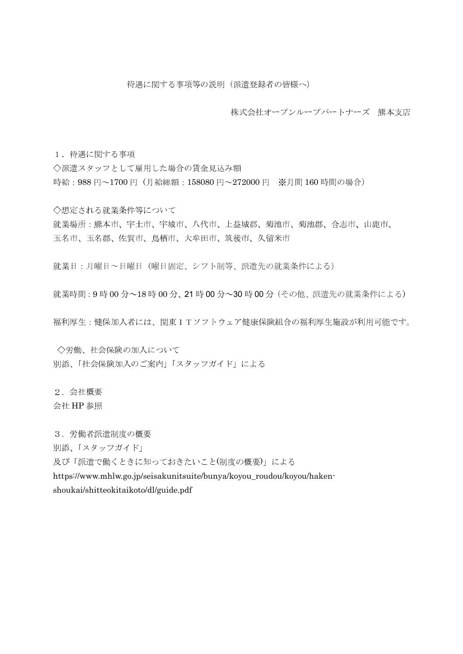株式会社オープンループパートナーズ 熊本支店

1. 待遇に関する事項

◇派遣スタッフとして雇用した場合の賃金見込み額 時給: 988円~1700円 (月給総額: 158080円~272000円 ※月間160時間の場合)

◇想定される就業条件等について 就業場所:熊本市、宇土市、宇城市、八代市、上益城郡、菊池市、菊池郡、合志市、山鹿市、 玉名市、玉名郡、佐賀市、鳥栖市、大牟田市、筑後市、久留米市

就業日:月曜日~日曜日 (曜日固定、シフト制等、派遣先の就業条件による)

就業時間: 9時 00分~18時 00分、21時 00分~30時 00分 (その他、派遣先の就業条件による)

福利厚生:健保加入者には、関東ITソフトウェア健康保険組合の福利厚生施設が利用可能です。

◇労働、社会保険の加入について 別添、「社会保険加入のご案内」「スタッフガイド」による

2. 会社概要

会社 HP 参照

3. 労働者派遣制度の概要

別添、「スタッフガイド」

及び「派遣で働くときに知っておきたいこと(制度の概要)」による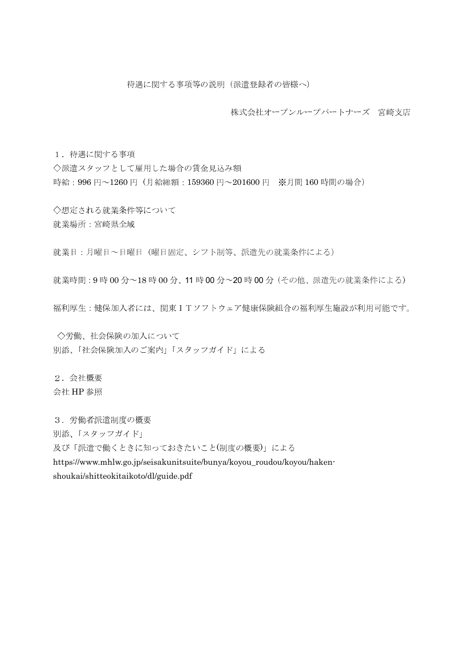株式会社オープンループパートナーズ 宮崎支店

1. 待遇に関する事項

◇派遣スタッフとして雇用した場合の賃金見込み額 時給: 996円~1260円 (月給総額: 159360円~201600円 ※月間160時間の場合)

◇想定される就業条件等について 就業場所:宮崎県全域

就業日:月曜日~日曜日 (曜日固定、シフト制等、派遣先の就業条件による)

就業時間: 9時00分~18時00分、11時00分~20時00分(その他、派遣先の就業条件による)

福利厚生:健保加入者には、関東ITソフトウェア健康保険組合の福利厚生施設が利用可能です。

◇労働、社会保険の加入について 別添、「社会保険加入のご案内」「スタッフガイド」による

2. 会社概要 会社 HP 参照

3. 労働者派遣制度の概要

別添、「スタッフガイド」

及び「派遣で働くときに知っておきたいこと(制度の概要)」による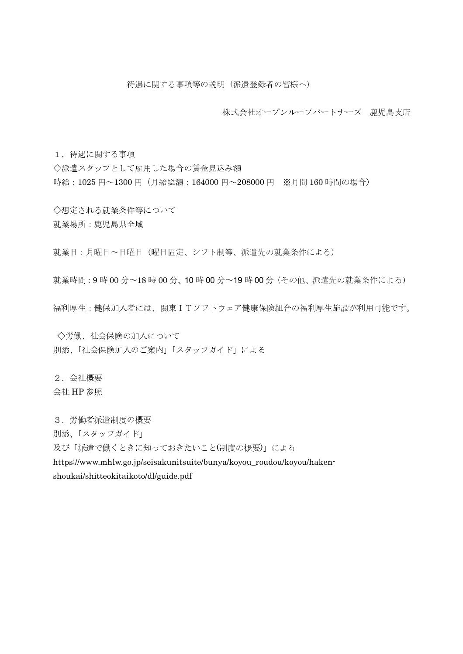株式会社オープンループパートナーズ 鹿児島支店

1. 待遇に関する事項

◇派遣スタッフとして雇用した場合の賃金見込み額 時給: 1025円~1300円 (月給総額: 164000円~208000円 ※月間160時間の場合)

◇想定される就業条件等について 就業場所:鹿児島県全域

就業日:月曜日~日曜日 (曜日固定、シフト制等、派遣先の就業条件による)

就業時間: 9時 00分~18時 00分、10時 00分~19時 00分 (その他、派遣先の就業条件による)

福利厚生:健保加入者には、関東ITソフトウェア健康保険組合の福利厚生施設が利用可能です。

◇労働、社会保険の加入について 別添、「社会保険加入のご案内」「スタッフガイド」による

2. 会社概要 会社 HP 参照

3. 労働者派遣制度の概要

別添、「スタッフガイド」

及び「派遣で働くときに知っておきたいこと(制度の概要)」による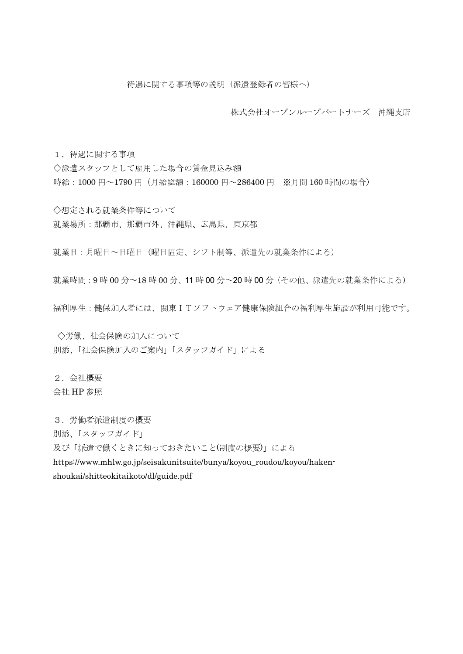株式会社オープンループパートナーズ 沖縄支店

1. 待遇に関する事項

◇派遣スタッフとして雇用した場合の賃金見込み額 時給: 1000円~1790円 (月給総額: 160000円~286400円 ※月間160時間の場合)

◇想定される就業条件等について 就業場所:那覇市、那覇市外、沖縄県、広島県、東京都

就業日:月曜日~日曜日 (曜日固定、シフト制等、派遣先の就業条件による)

就業時間: 9時 00分~18時 00分、11時 00分~20時 00分 (その他、派遣先の就業条件による)

福利厚生:健保加入者には、関東ITソフトウェア健康保険組合の福利厚生施設が利用可能です。

◇労働、社会保険の加入について 別添、「社会保険加入のご案内」「スタッフガイド」による

2. 会社概要 会社 HP 参照

3. 労働者派遣制度の概要

別添、「スタッフガイド」

及び「派遣で働くときに知っておきたいこと(制度の概要)」による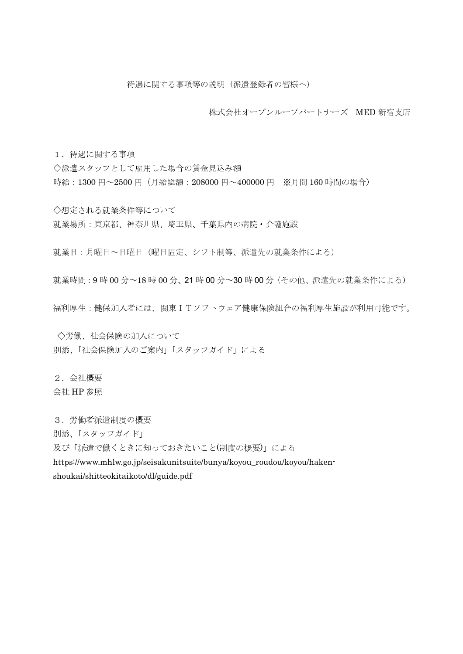株式会社オープンループパートナーズ MED 新宿支店

1. 待遇に関する事項

◇派遣スタッフとして雇用した場合の賃金見込み額 時給: 1300円~2500円 (月給総額: 208000円~400000円 ※月間160時間の場合)

◇想定される就業条件等について 就業場所:東京都、神奈川県、埼玉県、千葉県内の病院・介護施設

就業日:月曜日~日曜日 (曜日固定、シフト制等、派遣先の就業条件による)

就業時間: 9時 00分~18時 00分、21時 00分~30時 00分 (その他、派遣先の就業条件による)

福利厚生:健保加入者には、関東ITソフトウェア健康保険組合の福利厚生施設が利用可能です。

◇労働、社会保険の加入について 別添、「社会保険加入のご案内」「スタッフガイド」による

2. 会社概要 会社 HP 参照

3. 労働者派遣制度の概要

別添、「スタッフガイド」

及び「派遣で働くときに知っておきたいこと(制度の概要)」による